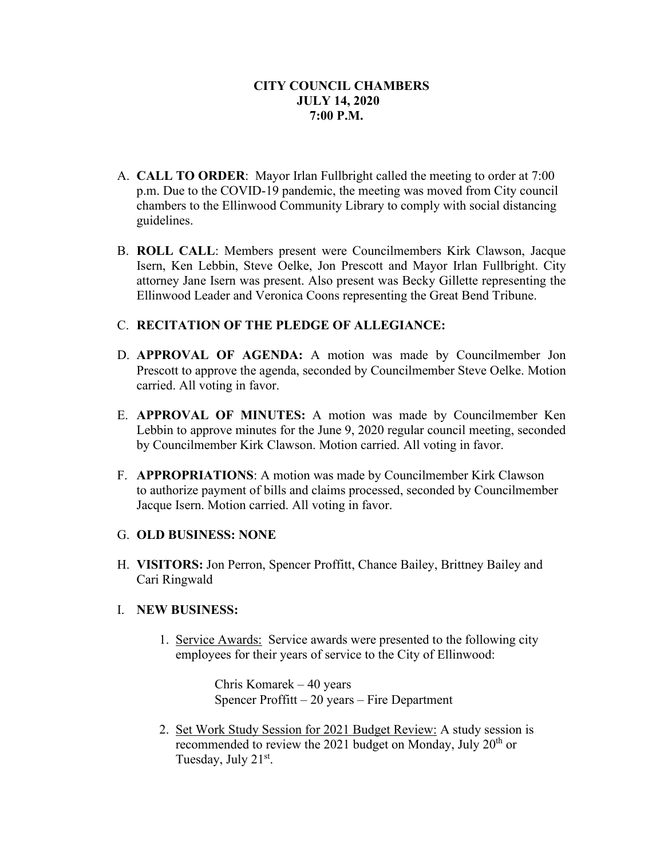- A. **CALL TO ORDER**: Mayor Irlan Fullbright called the meeting to order at 7:00 p.m. Due to the COVID-19 pandemic, the meeting was moved from City council chambers to the Ellinwood Community Library to comply with social distancing guidelines.
- B. **ROLL CALL**: Members present were Councilmembers Kirk Clawson, Jacque Isern, Ken Lebbin, Steve Oelke, Jon Prescott and Mayor Irlan Fullbright. City attorney Jane Isern was present. Also present was Becky Gillette representing the Ellinwood Leader and Veronica Coons representing the Great Bend Tribune.

# C. **RECITATION OF THE PLEDGE OF ALLEGIANCE:**

- D. **APPROVAL OF AGENDA:** A motion was made by Councilmember Jon Prescott to approve the agenda, seconded by Councilmember Steve Oelke. Motion carried. All voting in favor.
- E. **APPROVAL OF MINUTES:** A motion was made by Councilmember Ken Lebbin to approve minutes for the June 9, 2020 regular council meeting, seconded by Councilmember Kirk Clawson. Motion carried. All voting in favor.
- F. **APPROPRIATIONS**: A motion was made by Councilmember Kirk Clawson to authorize payment of bills and claims processed, seconded by Councilmember Jacque Isern. Motion carried. All voting in favor.

## G. **OLD BUSINESS: NONE**

H. **VISITORS:** Jon Perron, Spencer Proffitt, Chance Bailey, Brittney Bailey and Cari Ringwald

## I. **NEW BUSINESS:**

1. Service Awards: Service awards were presented to the following city employees for their years of service to the City of Ellinwood:

> Chris Komarek – 40 years Spencer Proffitt – 20 years – Fire Department

2. Set Work Study Session for 2021 Budget Review: A study session is recommended to review the 2021 budget on Monday, July 20<sup>th</sup> or Tuesday, July 21<sup>st</sup>.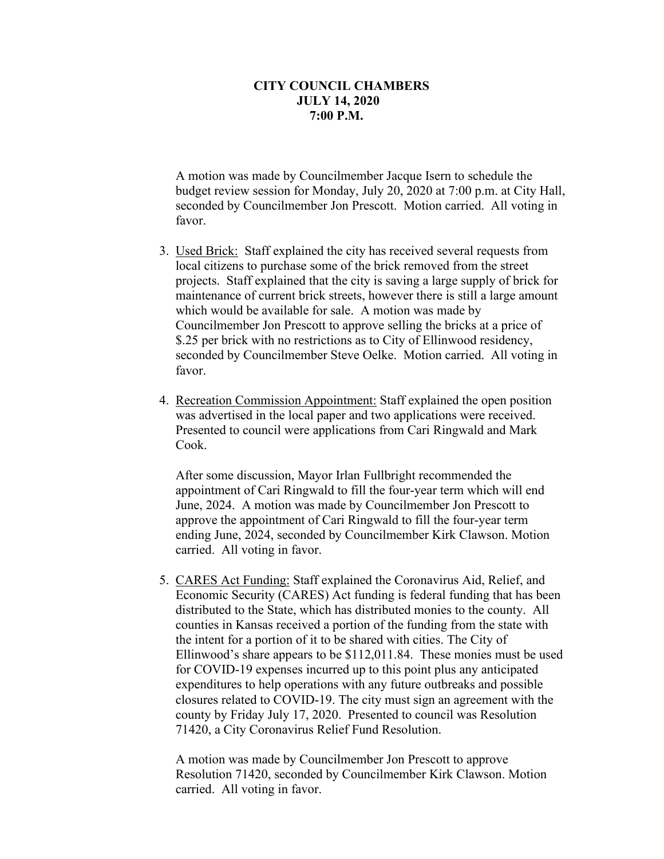A motion was made by Councilmember Jacque Isern to schedule the budget review session for Monday, July 20, 2020 at 7:00 p.m. at City Hall, seconded by Councilmember Jon Prescott. Motion carried. All voting in favor.

- 3. Used Brick: Staff explained the city has received several requests from local citizens to purchase some of the brick removed from the street projects. Staff explained that the city is saving a large supply of brick for maintenance of current brick streets, however there is still a large amount which would be available for sale. A motion was made by Councilmember Jon Prescott to approve selling the bricks at a price of \$.25 per brick with no restrictions as to City of Ellinwood residency, seconded by Councilmember Steve Oelke. Motion carried. All voting in favor.
- 4. Recreation Commission Appointment: Staff explained the open position was advertised in the local paper and two applications were received. Presented to council were applications from Cari Ringwald and Mark Cook.

After some discussion, Mayor Irlan Fullbright recommended the appointment of Cari Ringwald to fill the four-year term which will end June, 2024. A motion was made by Councilmember Jon Prescott to approve the appointment of Cari Ringwald to fill the four-year term ending June, 2024, seconded by Councilmember Kirk Clawson. Motion carried. All voting in favor.

5. CARES Act Funding: Staff explained the Coronavirus Aid, Relief, and Economic Security (CARES) Act funding is federal funding that has been distributed to the State, which has distributed monies to the county. All counties in Kansas received a portion of the funding from the state with the intent for a portion of it to be shared with cities. The City of Ellinwood's share appears to be \$112,011.84. These monies must be used for COVID-19 expenses incurred up to this point plus any anticipated expenditures to help operations with any future outbreaks and possible closures related to COVID-19. The city must sign an agreement with the county by Friday July 17, 2020. Presented to council was Resolution 71420, a City Coronavirus Relief Fund Resolution.

A motion was made by Councilmember Jon Prescott to approve Resolution 71420, seconded by Councilmember Kirk Clawson. Motion carried. All voting in favor.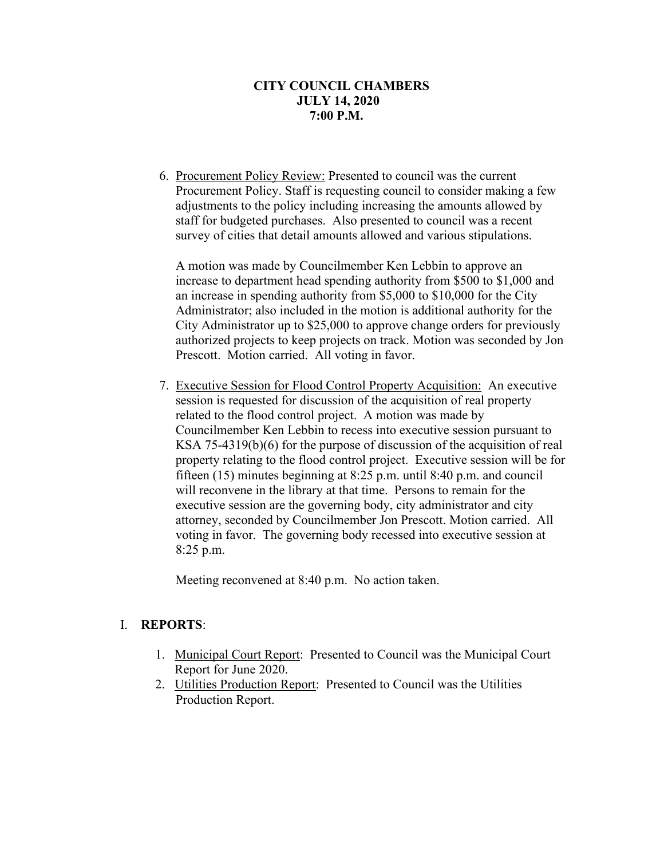6. Procurement Policy Review: Presented to council was the current Procurement Policy. Staff is requesting council to consider making a few adjustments to the policy including increasing the amounts allowed by staff for budgeted purchases. Also presented to council was a recent survey of cities that detail amounts allowed and various stipulations.

A motion was made by Councilmember Ken Lebbin to approve an increase to department head spending authority from \$500 to \$1,000 and an increase in spending authority from \$5,000 to \$10,000 for the City Administrator; also included in the motion is additional authority for the City Administrator up to \$25,000 to approve change orders for previously authorized projects to keep projects on track. Motion was seconded by Jon Prescott. Motion carried. All voting in favor.

7. Executive Session for Flood Control Property Acquisition: An executive session is requested for discussion of the acquisition of real property related to the flood control project. A motion was made by Councilmember Ken Lebbin to recess into executive session pursuant to KSA 75-4319(b)(6) for the purpose of discussion of the acquisition of real property relating to the flood control project. Executive session will be for fifteen (15) minutes beginning at 8:25 p.m. until 8:40 p.m. and council will reconvene in the library at that time. Persons to remain for the executive session are the governing body, city administrator and city attorney, seconded by Councilmember Jon Prescott. Motion carried. All voting in favor. The governing body recessed into executive session at 8:25 p.m.

Meeting reconvened at 8:40 p.m. No action taken.

## I. **REPORTS**:

- 1. Municipal Court Report: Presented to Council was the Municipal Court Report for June 2020.
- 2. Utilities Production Report: Presented to Council was the Utilities Production Report.